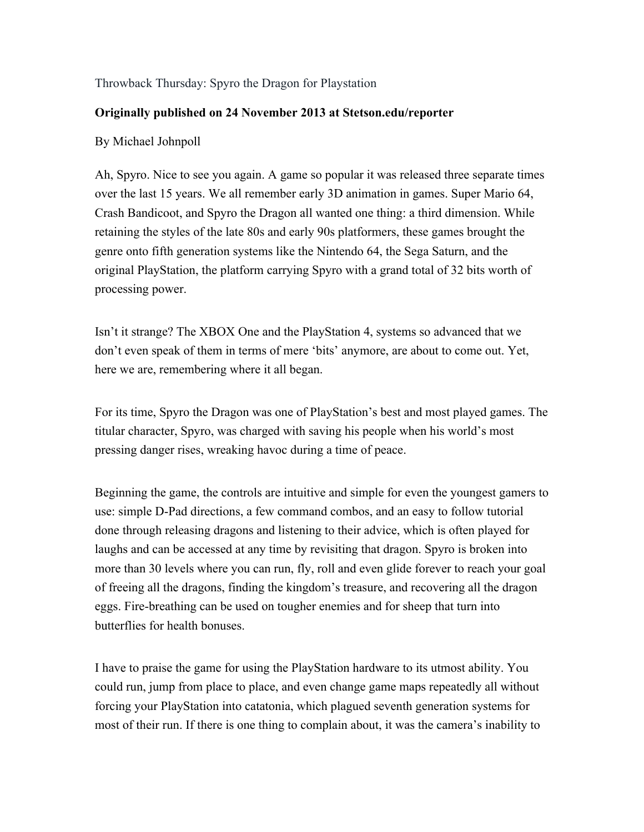## Throwback Thursday: Spyro the Dragon for Playstation

## **Originally published on 24 November 2013 at Stetson.edu/reporter**

## By Michael Johnpoll

Ah, Spyro. Nice to see you again. A game so popular it was released three separate times over the last 15 years. We all remember early 3D animation in games. Super Mario 64, Crash Bandicoot, and Spyro the Dragon all wanted one thing: a third dimension. While retaining the styles of the late 80s and early 90s platformers, these games brought the genre onto fifth generation systems like the Nintendo 64, the Sega Saturn, and the original PlayStation, the platform carrying Spyro with a grand total of 32 bits worth of processing power.

Isn't it strange? The XBOX One and the PlayStation 4, systems so advanced that we don't even speak of them in terms of mere 'bits' anymore, are about to come out. Yet, here we are, remembering where it all began.

For its time, Spyro the Dragon was one of PlayStation's best and most played games. The titular character, Spyro, was charged with saving his people when his world's most pressing danger rises, wreaking havoc during a time of peace.

Beginning the game, the controls are intuitive and simple for even the youngest gamers to use: simple D-Pad directions, a few command combos, and an easy to follow tutorial done through releasing dragons and listening to their advice, which is often played for laughs and can be accessed at any time by revisiting that dragon. Spyro is broken into more than 30 levels where you can run, fly, roll and even glide forever to reach your goal of freeing all the dragons, finding the kingdom's treasure, and recovering all the dragon eggs. Fire-breathing can be used on tougher enemies and for sheep that turn into butterflies for health bonuses.

I have to praise the game for using the PlayStation hardware to its utmost ability. You could run, jump from place to place, and even change game maps repeatedly all without forcing your PlayStation into catatonia, which plagued seventh generation systems for most of their run. If there is one thing to complain about, it was the camera's inability to